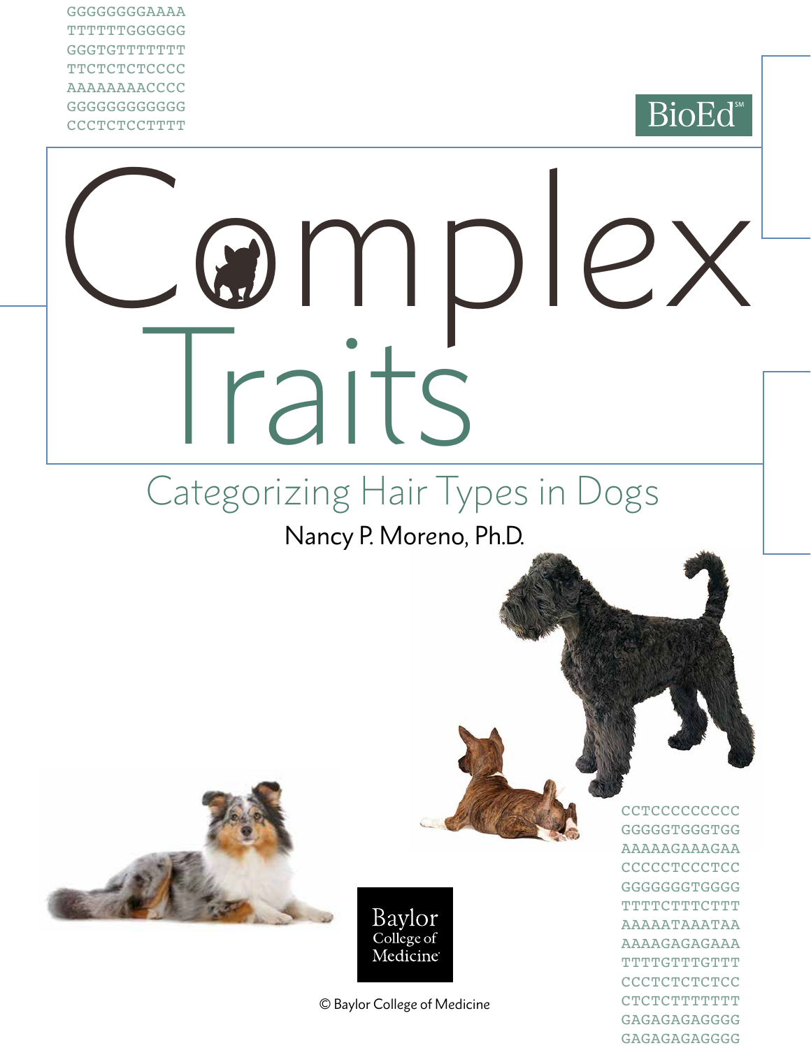GGGGGGGGAAAA TTTTTTGGGGGG **GGGTGTTTTTTTT TTCTCTCTCCCC** AAAAAAAACCCC GGGGGGGGGGGG **CCCTCTCCTTTT** 

## **BioEd**

# Complex Traits

## Categorizing Hair Types in Dogs

Nancy P. Moreno, Ph.D.





© Baylor College of Medicine

**CCTCCCCCCCCC** GGGGGTGGGTGG AAAAAGAAAGAA **CCCCCTCCCTCC** GGGGGGGTGGGG **TTTTCTTTCTTT** AAAAATAAATAA AAAAGAGAGAAA TTTTGTTTGTTT **CCCTCTCTCCC** CTCTCTTTTTTT GAGAGAGAGGGG GAGAGAGAGGGG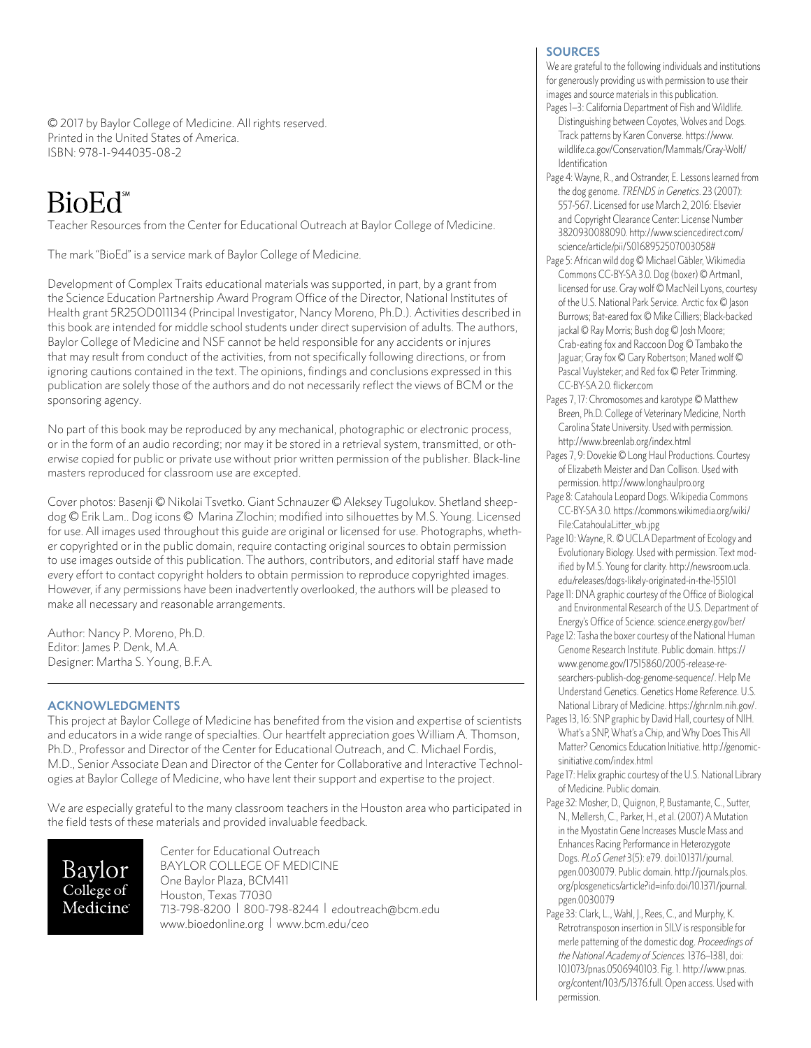© 2017 by Baylor College of Medicine. All rights reserved. Printed in the United States of America. ISBN: 978-1-944035-08-2

### BioEd<sup>\*\*</sup>

Teacher Resources from the Center for Educational Outreach at Baylor College of Medicine.

The mark "BioEd" is a service mark of Baylor College of Medicine.

Development of Complex Traits educational materials was supported, in part, by a grant from the Science Education Partnership Award Program Office of the Director, National Institutes of Health grant 5R25OD011134 (Principal Investigator, Nancy Moreno, Ph.D.). Activities described in this book are intended for middle school students under direct supervision of adults. The authors, Baylor College of Medicine and NSF cannot be held responsible for any accidents or injures that may result from conduct of the activities, from not specifically following directions, or from ignoring cautions contained in the text. The opinions, findings and conclusions expressed in this publication are solely those of the authors and do not necessarily reflect the views of BCM or the sponsoring agency.

No part of this book may be reproduced by any mechanical, photographic or electronic process, or in the form of an audio recording; nor may it be stored in a retrieval system, transmitted, or otherwise copied for public or private use without prior written permission of the publisher. Black-line masters reproduced for classroom use are excepted.

Cover photos: Basenji © Nikolai Tsvetko. Giant Schnauzer © Aleksey Tugolukov. Shetland sheepdog © Erik Lam.. Dog icons © Marina Zlochin; modified into silhouettes by M.S. Young. Licensed for use. All images used throughout this guide are original or licensed for use. Photographs, whether copyrighted or in the public domain, require contacting original sources to obtain permission to use images outside of this publication. The authors, contributors, and editorial staff have made every effort to contact copyright holders to obtain permission to reproduce copyrighted images. However, if any permissions have been inadvertently overlooked, the authors will be pleased to make all necessary and reasonable arrangements.

Author: Nancy P. Moreno, Ph.D. Editor: James P. Denk, M.A. Designer: Martha S. Young, B.F.A.

#### **ACKNOWLEDGMENTS**

This project at Baylor College of Medicine has benefited from the vision and expertise of scientists and educators in a wide range of specialties. Our heartfelt appreciation goes William A. Thomson, Ph.D., Professor and Director of the Center for Educational Outreach, and C. Michael Fordis, M.D., Senior Associate Dean and Director of the Center for Collaborative and Interactive Technologies at Baylor College of Medicine, who have lent their support and expertise to the project.

We are especially grateful to the many classroom teachers in the Houston area who participated in the field tests of these materials and provided invaluable feedback.

Baylor College of Medicine Center for Educational Outreach BAYLOR COLLEGE OF MEDICINE One Baylor Plaza, BCM411 Houston, Texas 77030 713-798-8200 | 800-798-8244 | [edoutreach@bcm.edu](mailto:edoutreach@bcm.edu) <www.bioedonline.org> | <www.bcm.edu/ceo>

#### **SOURCES**

We are grateful to the following individuals and institutions for generously providing us with permission to use their images and source materials in this publication.

- Pages 1-3: California Department of Fish and Wildlife. Distinguishing between Coyotes, Wolves and Dogs. Track patterns by Karen Converse. [https://www.](https://www.wildlife.ca.gov/Conservation/Mammals/Gray-Wolf/Identification) [wildlife.ca.gov/Conservation/Mammals/Gray-Wolf/](https://www.wildlife.ca.gov/Conservation/Mammals/Gray-Wolf/Identification) **[Identification](https://www.wildlife.ca.gov/Conservation/Mammals/Gray-Wolf/Identification)**
- Page 4: Wayne, R., and Ostrander, E. Lessons learned from the dog genome. *TRENDS in Genetics*. 23 (2007): 557-567. Licensed for use March 2, 2016: Elsevier and Copyright Clearance Center: License Number 3820930088090. [http://www.sciencedirect.com/](http://www.sciencedirect.com/science/article/pii/S0168952507003058) [science/article/pii/S0168952507003058#](http://www.sciencedirect.com/science/article/pii/S0168952507003058)
- Page 5: African wild dog © Michael Gäbler, Wikimedia Commons CC-BY-SA 3.0. Dog (boxer) © Artman1, licensed for use. Gray wolf © MacNeil Lyons, courtesy of the U.S. National Park Service. Arctic fox © Jason Burrows; Bat-eared fox © Mike Cilliers; Black-backed jackal © Ray Morris; Bush dog © Josh Moore; Crab-eating fox and Raccoon Dog © Tambako the Jaguar; Gray fox © Gary Robertson; Maned wolf © Pascal Vuylsteker; and Red fox © Peter Trimming. CC-BY-SA 2.0.<flicker.com>
- Pages 7, 17: Chromosomes and karotype © Matthew Breen, Ph.D. College of Veterinary Medicine, North Carolina State University. Used with permission. <http://www.breenlab.org/index.html>
- Pages 7, 9: Dovekie © Long Haul Productions. Courtesy of Elizabeth Meister and Dan Collison. Used with permission. <http://www.longhaulpro.org>
- Page 8: Catahoula Leopard Dogs. Wikipedia Commons CC-BY-SA 3.0. [https://commons.wikimedia.org/wiki/](https://commons.wikimedia.org/wiki/File) [File](https://commons.wikimedia.org/wiki/File):[CatahoulaLitter\\_wb.jpg](CatahoulaLitter_wb.jpg)
- Page 10: Wayne, R. © UCLA Department of Ecology and Evolutionary Biology. Used with permission. Text modified by M.S. Young for clarity. [http://newsroom.ucla.](http://newsroom.ucla.edu/releases/dogs) [edu/releases/dogs-](http://newsroom.ucla.edu/releases/dogs)likely-originated-in-the-155101
- Page 11: DNA graphic courtesy of the Office of Biological and Environmental Research of the U.S. Department of Energy's Office of Science. <science.energy.gov/ber>/
- Page 12: Tasha the boxer courtesy of the National Human Genome Research Institute. Public domain. [https://](https://www.genome.gov/17515860/2005) [www.genome.gov/17515860/2005-](https://www.genome.gov/17515860/2005)release-researchers-publish-dog-genome-sequence/. Help Me Understand Genetics. Genetics Home Reference. U.S. National Library of Medicine. <https://ghr.nlm.nih.gov>/.
- Pages 13, 16: SNP graphic by David Hall, courtesy of NIH. What's a SNP, What's a Chip, and Why Does This All Matter? Genomics Education Initiative. [http://genomic](http://genomicsinitiative.com/index.html)[sinitiative.com/index.html](http://genomicsinitiative.com/index.html)
- Page 17: Helix graphic courtesy of the U.S. National Library of Medicine. Public domain.
- Page 32: Mosher, D., Quignon, P, Bustamante, C., Sutter, N., Mellersh, C., Parker, H., et al. (2007) A Mutation in the Myostatin Gene Increases Muscle Mass and Enhances Racing Performance in Heterozygote Dogs. *PLoS Genet* 3(5): e79. doi[:10.1371/journal.](10.1371/journal.pgen) [pgen.](10.1371/journal.pgen)0030079. Public domain. [http://journals.plos.](http://journals.plos.org/plosgenetics/article?id=info:doi) [org/plosgenetics/article?id=info:doi/](http://journals.plos.org/plosgenetics/article?id=info:doi)[10.1371/journal.](10.1371/journal.pgen) [pgen.](10.1371/journal.pgen)0030079
- Page 33: Clark, L., Wahl, J., Rees, C., and Murphy, K. Retrotransposon insertion in SILV is responsible for merle patterning of the domestic dog. *Proceedings of the National Academy of Sciences.* 1376–1381, doi: <10.1073/pnas>.0506940103. Fig. 1. [http://www.pnas.](http://www.pnas.org/content/103/5/1376.full) [org/content/103/5/1376.full](http://www.pnas.org/content/103/5/1376.full). Open access. Used with permission.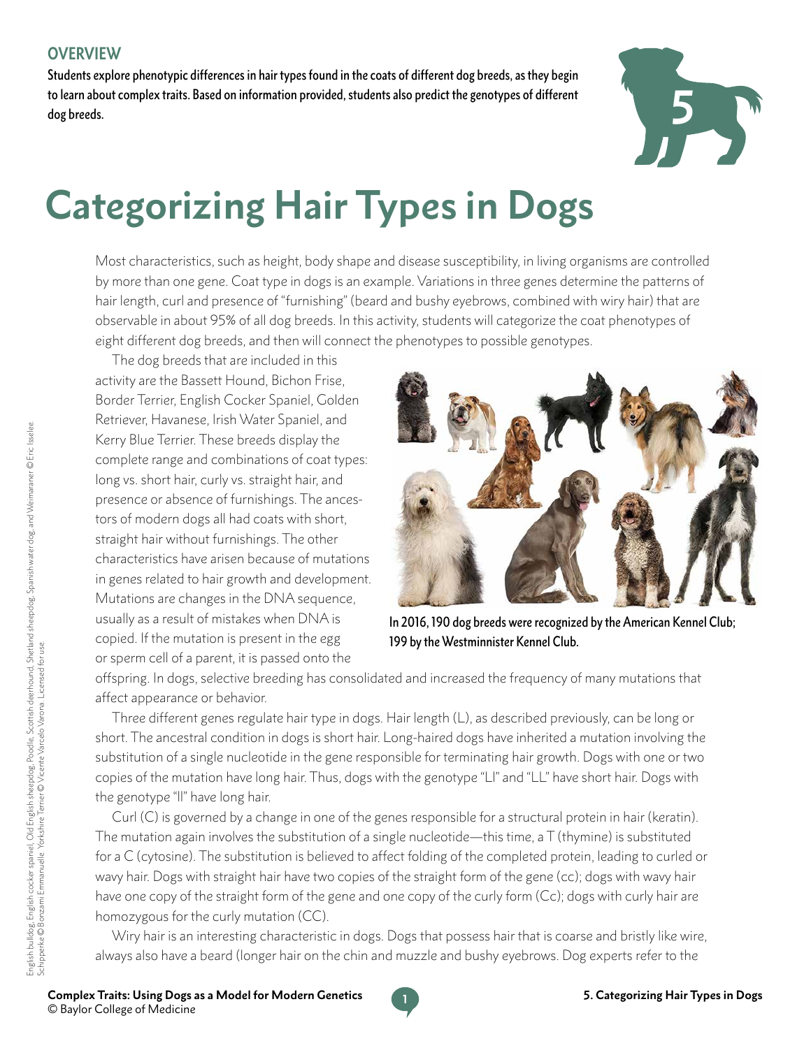Students explore phenotypic differences in hair types found in the coats of different dog breeds, as they begin to learn about complex traits. Based on information provided, students also predict the genotypes of different dog breeds.



# **Categorizing Hair Types in Dogs**

Most characteristics, such as height, body shape and disease susceptibility, in living organisms are controlled by more than one gene. Coat type in dogs is an example. Variations in three genes determine the patterns of hair length, curl and presence of "furnishing" (beard and bushy eyebrows, combined with wiry hair) that are observable in about 95% of all dog breeds. In this activity, students will categorize the coat phenotypes of eight different dog breeds, and then will connect the phenotypes to possible genotypes.

The dog breeds that are included in this activity are the Bassett Hound, Bichon Frise, Border Terrier, English Cocker Spaniel, Golden Retriever, Havanese, Irish Water Spaniel, and Kerry Blue Terrier. These breeds display the complete range and combinations of coat types: long vs. short hair, curly vs. straight hair, and presence or absence of furnishings. The ancestors of modern dogs all had coats with short, straight hair without furnishings. The other characteristics have arisen because of mutations in genes related to hair growth and development. Mutations are changes in the DNA sequence, usually as a result of mistakes when DNA is copied. If the mutation is present in the egg or sperm cell of a parent, it is passed onto the



In 2016, 190 dog breeds were recognized by the American Kennel Club; 199 by the Westminnister Kennel Club.

offspring. In dogs, selective breeding has consolidated and increased the frequency of many mutations that affect appearance or behavior.

Three different genes regulate hair type in dogs. Hair length (L), as described previously, can be long or short. The ancestral condition in dogs is short hair. Long-haired dogs have inherited a mutation involving the substitution of a single nucleotide in the gene responsible for terminating hair growth. Dogs with one or two copies of the mutation have long hair. Thus, dogs with the genotype "Ll" and "LL" have short hair. Dogs with the genotype "ll" have long hair.

Curl (C) is governed by a change in one of the genes responsible for a structural protein in hair (keratin). The mutation again involves the substitution of a single nucleotide—this time, a T (thymine) is substituted for a C (cytosine). The substitution is believed to affect folding of the completed protein, leading to curled or wavy hair. Dogs with straight hair have two copies of the straight form of the gene (cc); dogs with wavy hair have one copy of the straight form of the gene and one copy of the curly form (Cc); dogs with curly hair are homozygous for the curly mutation (CC).

Wiry hair is an interesting characteristic in dogs. Dogs that possess hair that is coarse and bristly like wire, always also have a beard (longer hair on the chin and muzzle and bushy eyebrows. Dog experts refer to the

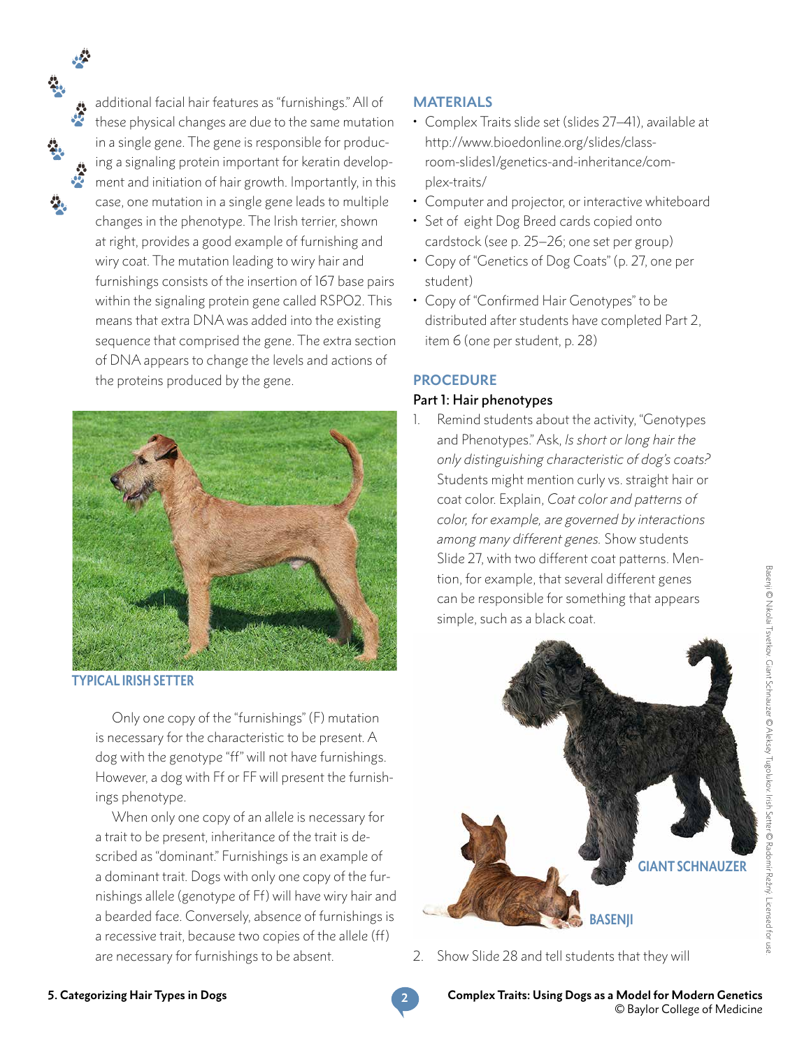additional facial hair features as "furnishings." All of these physical changes are due to the same mutation in a single gene. The gene is responsible for producing a signaling protein important for keratin development and initiation of hair growth. Importantly, in this case, one mutation in a single gene leads to multiple changes in the phenotype. The Irish terrier, shown at right, provides a good example of furnishing and wiry coat. The mutation leading to wiry hair and furnishings consists of the insertion of 167 base pairs within the signaling protein gene called RSPO2. This means that extra DNA was added into the existing sequence that comprised the gene. The extra section of DNA appears to change the levels and actions of the proteins produced by the gene.



**TYPICAL IRISH SETTER**

Only one copy of the "furnishings" (F) mutation is necessary for the characteristic to be present. A dog with the genotype "ff" will not have furnishings. However, a dog with Ff or FF will present the furnishings phenotype.

When only one copy of an allele is necessary for a trait to be present, inheritance of the trait is described as "dominant." Furnishings is an example of a dominant trait. Dogs with only one copy of the furnishings allele (genotype of Ff) will have wiry hair and a bearded face. Conversely, absence of furnishings is a recessive trait, because two copies of the allele (ff) are necessary for furnishings to be absent.

#### **MATERIALS**

- Complex Traits slide set (slides 27–41), available at [http://www.bioedonline.org/slides/class](http://www.bioedonline.org/slides/classroom-slides1/genetics-and-inheritance/complex)[room-slides1/genetics-and-inheritance/com](http://www.bioedonline.org/slides/classroom-slides1/genetics-and-inheritance/complex)[plex-](http://www.bioedonline.org/slides/classroom-slides1/genetics-and-inheritance/complex)traits/
- Computer and projector, or interactive whiteboard
- Set of eight Dog Breed cards copied onto cardstock (see p. 25–26; one set per group)
- Copy of "Genetics of Dog Coats" (p. 27, one per student)
- Copy of "Confirmed Hair Genotypes" to be distributed after students have completed Part 2, item 6 (one per student, p. 28)

#### **PROCEDURE**

#### Part 1: Hair phenotypes

Remind students about the activity, "Genotypes and Phenotypes." Ask, *Is short or long hair the only distinguishing characteristic of dog's coats?* Students might mention curly vs. straight hair or coat color. Explain, *Coat color and patterns of color, for example, are governed by interactions among many different genes.* Show students Slide 27, with two different coat patterns. Mention, for example, that several different genes can be responsible for something that appears simple, such as a black coat.



2. Show Slide 28 and tell students that they will

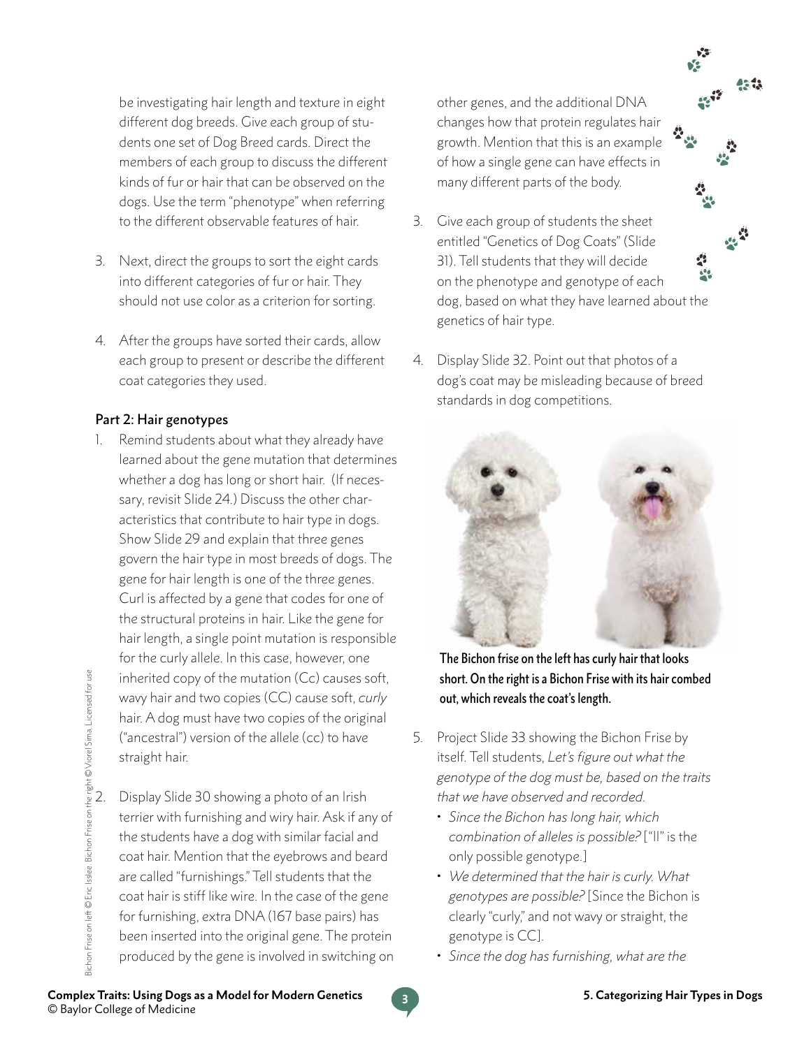be investigating hair length and texture in eight different dog breeds. Give each group of students one set of Dog Breed cards. Direct the members of each group to discuss the different kinds of fur or hair that can be observed on the dogs. Use the term "phenotype" when referring to the different observable features of hair.

- 3. Next, direct the groups to sort the eight cards into different categories of fur or hair. They should not use color as a criterion for sorting.
- 4. After the groups have sorted their cards, allow each group to present or describe the different coat categories they used.

#### Part 2: Hair genotypes

- 1. Remind students about what they already have learned about the gene mutation that determines whether a dog has long or short hair. (If necessary, revisit Slide 24.) Discuss the other characteristics that contribute to hair type in dogs. Show Slide 29 and explain that three genes govern the hair type in most breeds of dogs. The gene for hair length is one of the three genes. Curl is affected by a gene that codes for one of the structural proteins in hair. Like the gene for hair length, a single point mutation is responsible for the curly allele. In this case, however, one inherited copy of the mutation (Cc) causes soft, wavy hair and two copies (CC) cause soft, *curly*  hair. A dog must have two copies of the original ("ancestral") version of the allele (cc) to have straight hair.
- Display Slide 30 showing a photo of an Irish terrier with furnishing and wiry hair. Ask if any of the students have a dog with similar facial and coat hair. Mention that the eyebrows and beard are called "furnishings." Tell students that the coat hair is stiff like wire. In the case of the gene for furnishing, extra DNA (167 base pairs) has been inserted into the original gene. The protein produced by the gene is involved in switching on

other genes, and the additional DNA changes how that protein regulates hair growth. Mention that this is an example of how a single gene can have effects in many different parts of the body.

- 3. Give each group of students the sheet entitled "Genetics of Dog Coats" (Slide 31). Tell students that they will decide on the phenotype and genotype of each dog, based on what they have learned about the genetics of hair type.
- 4. Display Slide 32. Point out that photos of a dog's coat may be misleading because of breed standards in dog competitions.



The Bichon frise on the left has curly hair that looks short. On the right is a Bichon Frise with its hair combed out, which reveals the coat's length.

- 5. Project Slide 33 showing the Bichon Frise by itself. Tell students, *Let's figure out what the genotype of the dog must be, based on the traits that we have observed and recorded.*
	- *Since the Bichon has long hair, which combination of alleles is possible?* ["ll" is the only possible genotype.]
	- *We determined that the hair is curly. What genotypes are possible?* [Since the Bichon is clearly "curly," and not wavy or straight, the genotype is CC].
	- *Since the dog has furnishing, what are the*

**3 Complex Traits: Using Dogs as a Model for Modern Genetics** © Baylor College of Medicine

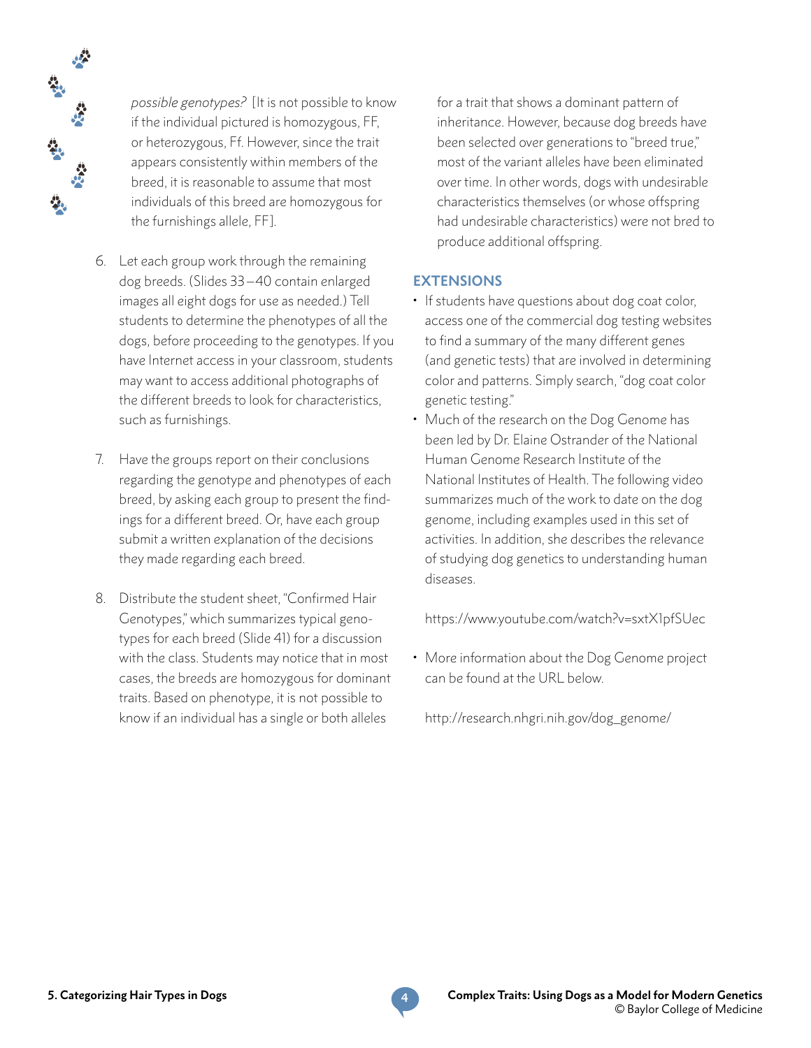

 *possible genotypes?* [It is not possible to know if the individual pictured is homozygous, FF, or heterozygous, Ff. However, since the trait appears consistently within members of the breed, it is reasonable to assume that most individuals of this breed are homozygous for the furnishings allele, FF].

- 6. Let each group work through the remaining dog breeds. (Slides 33 –40 contain enlarged images all eight dogs for use as needed.) Tell students to determine the phenotypes of all the dogs, before proceeding to the genotypes. If you have Internet access in your classroom, students may want to access additional photographs of the different breeds to look for characteristics, such as furnishings.
- 7. Have the groups report on their conclusions regarding the genotype and phenotypes of each breed, by asking each group to present the findings for a different breed. Or, have each group submit a written explanation of the decisions they made regarding each breed.
- 8. Distribute the student sheet, "Confirmed Hair Genotypes," which summarizes typical genotypes for each breed (Slide 41) for a discussion with the class. Students may notice that in most cases, the breeds are homozygous for dominant traits. Based on phenotype, it is not possible to know if an individual has a single or both alleles

for a trait that shows a dominant pattern of inheritance. However, because dog breeds have been selected over generations to "breed true," most of the variant alleles have been eliminated over time. In other words, dogs with undesirable characteristics themselves (or whose offspring had undesirable characteristics) were not bred to produce additional offspring.

#### **EXTENSIONS**

- If students have questions about dog coat color, access one of the commercial dog testing websites to find a summary of the many different genes (and genetic tests) that are involved in determining color and patterns. Simply search, "dog coat color genetic testing."
- Much of the research on the Dog Genome has been led by Dr. Elaine Ostrander of the National Human Genome Research Institute of the National Institutes of Health. The following video summarizes much of the work to date on the dog genome, including examples used in this set of activities. In addition, she describes the relevance of studying dog genetics to understanding human diseases.

<https://www.youtube.com/watch?v=sxtX1pfSUec>

• More information about the Dog Genome project can be found at the URL below.

[http://research.nhgri.nih.gov/dog\\_genome](http://research.nhgri.nih.gov/dog_genome)/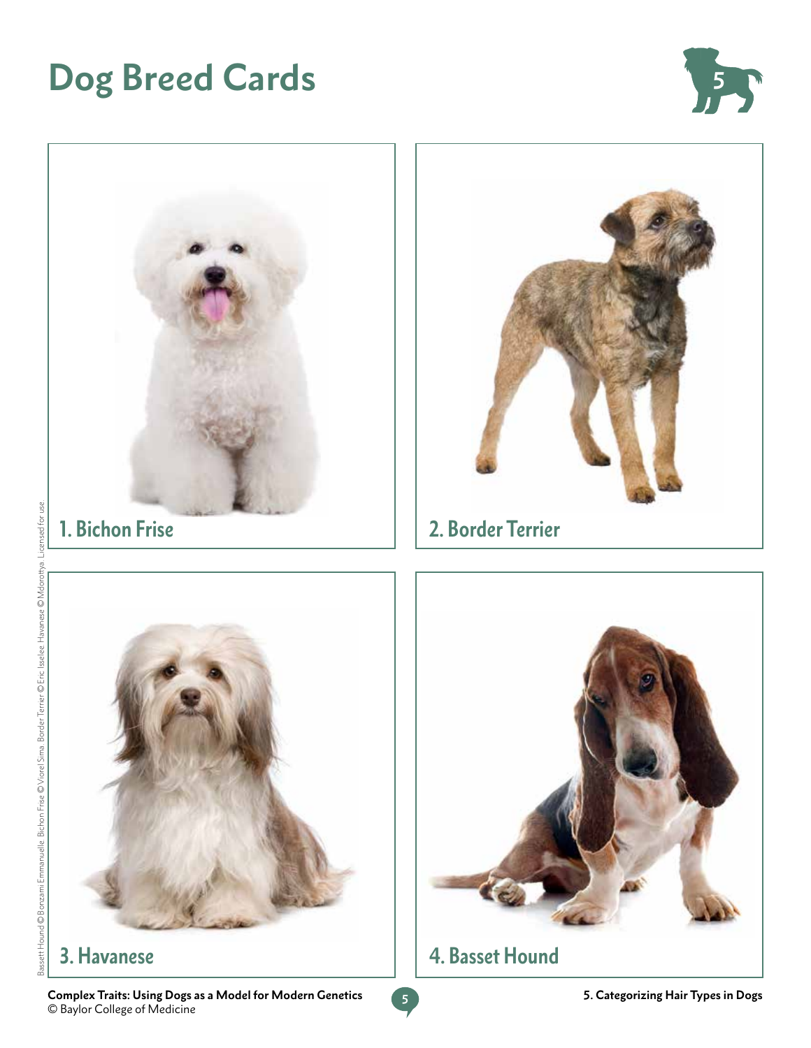# **Dog Breed Cards 5**





**5 Complex Traits: Using Dogs as a Model for Modern Genetics** © Baylor College of Medicine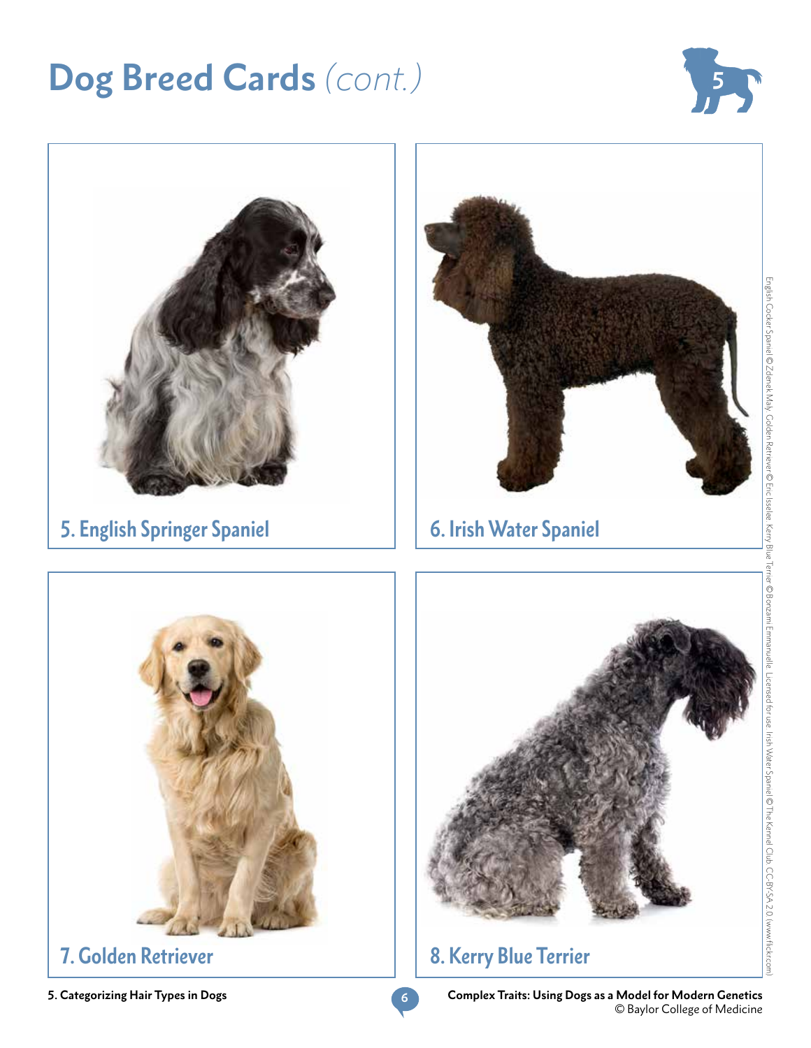## **Dog Breed Cards** *(cont.)*





**5. Categorizing Hair Types in Dogs**

**6**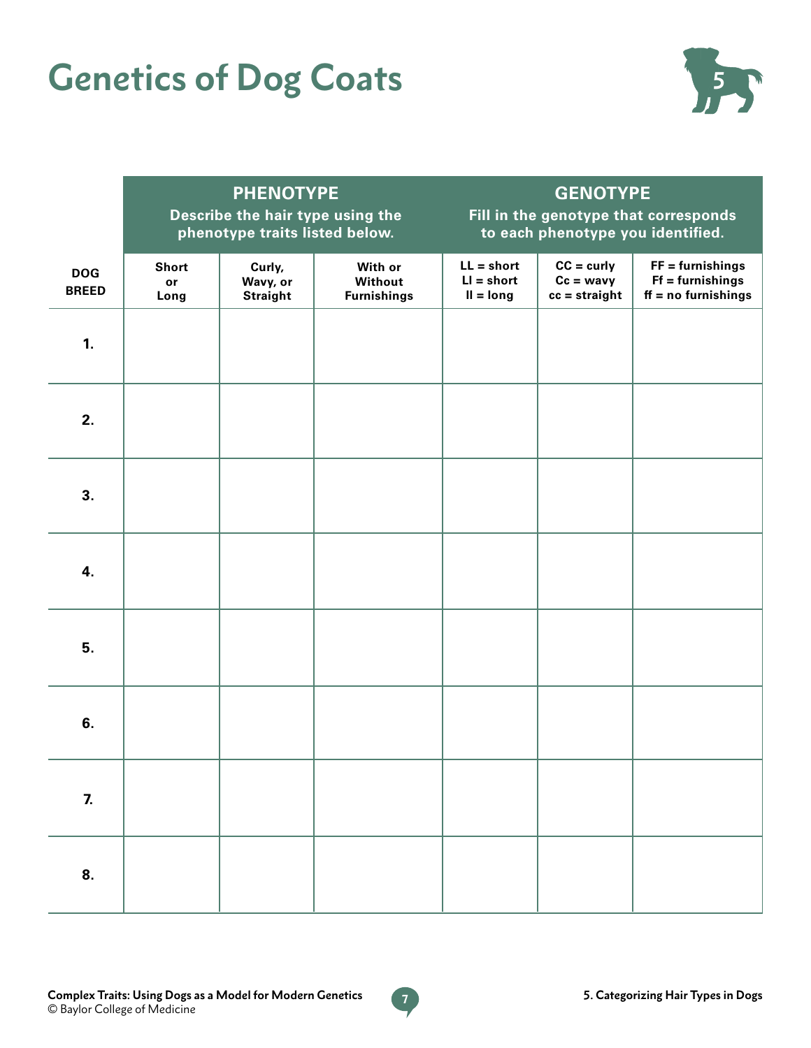# **Genetics of Dog Coats 555**



|                            | <b>PHENOTYPE</b><br>Describe the hair type using the<br>phenotype traits listed below. |                                       |                                          | <b>GENOTYPE</b><br>Fill in the genotype that corresponds<br>to each phenotype you identified. |                                                       |                                                                   |
|----------------------------|----------------------------------------------------------------------------------------|---------------------------------------|------------------------------------------|-----------------------------------------------------------------------------------------------|-------------------------------------------------------|-------------------------------------------------------------------|
| <b>DOG</b><br><b>BREED</b> | <b>Short</b><br>or<br>Long                                                             | Curly,<br>Wavy, or<br><b>Straight</b> | With or<br>Without<br><b>Furnishings</b> | $LL = short$<br>$LI = short$<br>$II = long$                                                   | $CC = \text{curly}$<br>$Cc = wavy$<br>$cc = straight$ | $FF =$ furnishings<br>$Ff = furnishings$<br>$ff = no$ furnishings |
| 1.                         |                                                                                        |                                       |                                          |                                                                                               |                                                       |                                                                   |
| 2.                         |                                                                                        |                                       |                                          |                                                                                               |                                                       |                                                                   |
| 3.                         |                                                                                        |                                       |                                          |                                                                                               |                                                       |                                                                   |
| 4.                         |                                                                                        |                                       |                                          |                                                                                               |                                                       |                                                                   |
| 5.                         |                                                                                        |                                       |                                          |                                                                                               |                                                       |                                                                   |
| 6.                         |                                                                                        |                                       |                                          |                                                                                               |                                                       |                                                                   |
| 7.                         |                                                                                        |                                       |                                          |                                                                                               |                                                       |                                                                   |
| 8.                         |                                                                                        |                                       |                                          |                                                                                               |                                                       |                                                                   |